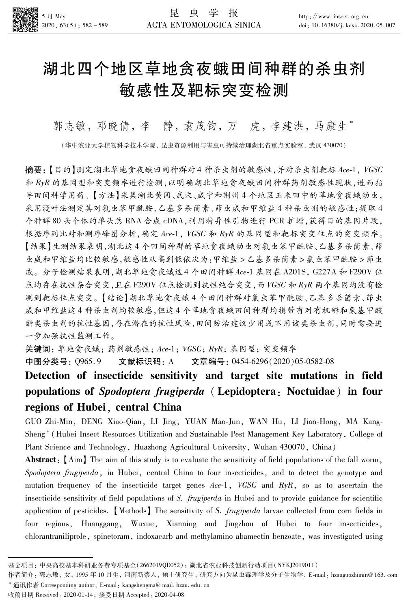

# 湖北四个地区草地贪夜蛾田间种群的杀虫剂 敏感性及靶标突变检测

郭志敏,邓晓倩,李静,袁茂钧,万虎,李建洪,马康生\*

(华中农业大学植物科学技术学院,昆虫资源利用与害虫可持续治理湖北省重点实验室,武汉 430070)

摘要:【目的】测定湖北草地贪夜蛾田间种群对4种杀虫剂的敏感性,并对杀虫剂靶标 Ace-1, VGSC 和 RyR 的基因型和突变频率进行检测,以明确湖北草地贪夜蛾田间种群药剂敏感性现状,进而指 导田间科学用药。【方法】采集湖北黄冈、武穴、咸宁和荆州4个地区玉米田中的草地贪夜蛾幼虫, 采用浸叶法测定其对氯虫苯甲酰胺、乙基多杀菌素、茚虫威和甲维盐4种杀虫剂的敏感性:提取4 个种群80头个体的单头总RNA合成 cDNA,利用特异性引物进行 PCR 扩增,获得目的基因片段, 根据序列比对和测序峰图分析,确定 Ace-1, VGSC 和 RyR 的基因型和靶标突变位点的突变频率。 【结果】生测结果表明,湖北这4个田间种群的草地贪夜蛾幼虫对氯虫苯甲酰胺、乙基多杀菌素、茚 虫威和甲维盐均比较敏感,敏感性从高到低依次为:甲维盐 > 乙基多杀菌素 > 氯虫苯甲酰胺 > 茚虫 威。分子检测结果表明,湖北草地贪夜蛾这4个田间种群Ace-1基因在 A201S, G227A 和 F290V 位 点均存在抗性杂合突变,且在F290V位点检测到抗性纯合突变,而VGSC 和 RyR 两个基因均没有检 测到靶标位点突变。【结论】湖北草地贪夜蛾4个田间种群对氯虫苯甲酰胺、乙基多杀菌素、茚虫 威和甲维盐这4种杀虫剂均较敏感,但这4个草地贪夜蛾田间种群均携带有对有机磷和氨基甲酸 酯类杀虫剂的抗性基因,存在潜在的抗性风险,田间防治建议少用或不用该类杀虫剂,同时需要进 一步加强抗性监测工作。

关键词: 草地贪夜蛾; 药剂敏感性; Ace-1; VGSC; RyR; 基因型; 突变频率 中图分类号: Q965.9 文献标识码: A 文章编号: 0454-6296 (2020) 05-0582-08

# Detection of insecticide sensitivity and target site mutations in field populations of Spodoptera frugiperda (Lepidoptera: Noctuidae) in four regions of Hubei, central China

GUO Zhi-Min, DENG Xiao-Qian, LI Jing, YUAN Mao-Jun, WAN Hu, LI Jian-Hong, MA Kang-Sheng<sup>\*</sup> (Hubei Insect Resources Utilization and Sustainable Pest Management Key Laboratory, College of Plant Science and Technology, Huazhong Agricultural University, Wuhan 430070, China)

**Abstract**: [Aim] The aim of this study is to evaluate the sensitivity of field populations of the fall worm, Spodoptera frugiperda, in Hubei, central China to four insecticides, and to detect the genotype and mutation frequency of the insecticide target genes  $Ace-1$ , VGSC and  $RyR$ , so as to ascertain the insecticide sensitivity of field populations of S. frugiperda in Hubei and to provide guidance for scientific application of pesticides. Methods The sensitivity of S. frugiperda larvae collected from corn fields in four regions, Huanggang, Wuxue, Xianning and Jingzhou of Hubei to four insecticides, chlorantraniliprole, spinetoram, indoxacarb and methylamino abamectin benzoate, was investigated using

基金项目: 中央高校基本科研业务费专项基金(2662019QD052); 湖北省农业科技创新行动项目(NYKJ2019011)

作者简介: 郭志敏, 女, 1995年10月生, 河南新蔡人, 硕士研究生, 研究方向为昆虫毒理学及分子生物学, E-mail: hzauguozhimin@163.com

<sup>\*</sup> 通讯作者 Corresponding author, E-mail: kangshengma@ mail. hzau. edu. cn

收稿日期 Received: 2020-01-14; 接受日期 Accepted: 2020-04-08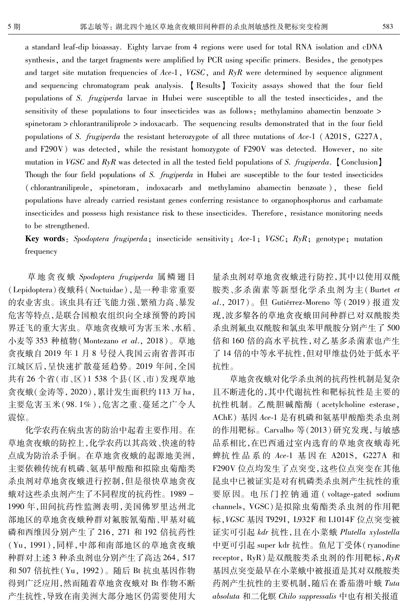a standard leaf-dip bioassay. Eighty larvae from 4 regions were used for total RNA isolation and cDNA synthesis, and the target fragments were amplified by PCR using specific primers. Besides, the genotypes and target site mutation frequencies of Ace-1, VGSC, and  $RyR$  were determined by sequence alignment and sequencing chromatogram peak analysis. [Results] Toxicity assays showed that the four field populations of S. *frugiperda* larvae in Hubei were susceptible to all the tested insecticides, and the sensitivity of these populations to four insecticides was as follows: methylamino abamectin benzoate > spinetoram > chlorantraniliprole > indoxacarb. The sequencing results demonstrated that in the four field populations of S. frugiperda the resistant heterozygote of all three mutations of Ace-1 (A201S, G227A, and F290V) was detected, while the resistant homozygote of F290V was detected. However, no site mutation in VGSC and  $RyR$  was detected in all the tested field populations of S. frugiperda. Conclusion Though the four field populations of S. frugiperda in Hubei are susceptible to the four tested insecticides (chlorantraniliprole, spinetoram, indoxacarb and methylamino abamectin benzoate), these field populations have already carried resistant genes conferring resistance to organophosphorus and carbamate insecticides and possess high resistance risk to these insecticides. Therefore, resistance monitoring needs to be strengthened.

**Key words**: Spodoptera frugiperda; insecticide sensitivity; Ace-1; VGSC;  $R\gamma R$ ; genotype; mutation frequency

草地贪夜蛾 Spodoptera frugiperda 属鳞翅目 (Lepidoptera)夜蛾科(Noctuidae),是一种非常重要 的农业害虫。该虫具有迁飞能力强、繁殖力高、暴发 危害等特点,是联合国粮农组织向全球预警的跨国 界迁飞的重大害虫。草地贪夜蛾可为害玉米、水稻、 小麦等 353 种植物 (Montezano et al., 2018)。草地 贪夜蛾自 2019年1月8号侵入我国云南省普洱市 江城区后,呈快速扩散蔓延趋势。2019年间,全国 共有26个省(市、区)1538个县(区、市)发现草地 贪夜蛾(金涛等, 2020),累计发生面积约113 万 ha, 主要危害玉米(98.1%),危害之重、蔓延之广令人 震惊。

化学农药在病虫害的防治中起着主要作用。在 草地贪夜蛾的防控上,化学农药以其高效、快速的特 点成为防治杀手锏。在草地贪夜蛾的起源地美洲, 主要依赖传统有机磷、氨基甲酸酯和拟除虫菊酯类 杀虫剂对草地贪夜蛾进行控制,但是很快草地贪夜 蛾对这些杀虫剂产生了不同程度的抗药性。1989-1990年,田间抗药性监测表明,美国佛罗里达州北 部地区的草地贪夜蛾种群对氟胺氰菊酯、甲基对硫 磷和西维因分别产生了 216, 271 和 192 倍抗药性 (Yu, 1991), 同样, 中部和南部地区的草地贪夜蛾 种群对上述3种杀虫剂也分别产生了高达264,517 和 507 倍抗性 (Yu, 1992)。随后 Bt 抗虫基因作物 得到广泛应用,然而随着草地贪夜蛾对 Bt 作物不断 产生抗性,导致在南美洲大部分地区仍需要使用大 量杀虫剂对草地贪夜蛾进行防控,其中以使用双酰 胺类、多杀菌素等新型化学杀虫剂为主(Burtet et al., 2017)。但 Gutiérrez-Moreno 等 (2019)报道发 现,波多黎各的草地贪夜蛾田间种群已对双酰胺类 杀虫剂氟虫双酰胺和氯虫苯甲酰胺分别产生了500 倍和160 倍的高水平抗性,对乙基多杀菌素也产生 了14 倍的中等水平抗性,但对甲维盐仍处于低水平 抗性。

草地贪夜蛾对化学杀虫剂的抗药性机制是复杂 且不断进化的,其中代谢抗性和靶标抗性是主要的 抗性机制。乙酰胆碱酯酶 (acetylcholine esterase, AChE) 基因 Ace-1 是有机磷和氨基甲酸酯类杀虫剂 的作用靶标。Carvalho 等(2013)研究发现,与敏感 品系相比,在巴西通过室内选育的草地贪夜蛾毒死 蜱抗性品系的 Ace-1 基因在 A201S, G227A 和 F290V 位点均发生了点突变,这些位点突变在其他 昆虫中已被证实是对有机磷类杀虫剂产生抗性的重 要原因。电压门控钠通道 (voltage-gated sodium channels, VGSC)是拟除虫菊酯类杀虫剂的作用靶 标, VGSC 基因 T929I, L932F 和 L1014F 位点突变被 证实可引起 kdr 抗性,且在小菜蛾 Plutella xylostella 中更可引起 super kdr 抗性。鱼尼丁受体(ryanodine receptor,  $RyR$ ) 是双酰胺类杀虫剂的作用靶标,  $RyR$ 基因点突变最早在小菜蛾中被报道是其对双酰胺类 药剂产生抗性的主要机制,随后在番茄潜叶蛾 Tuta absoluta 和二化螟 Chilo suppressalis 中也有相关报道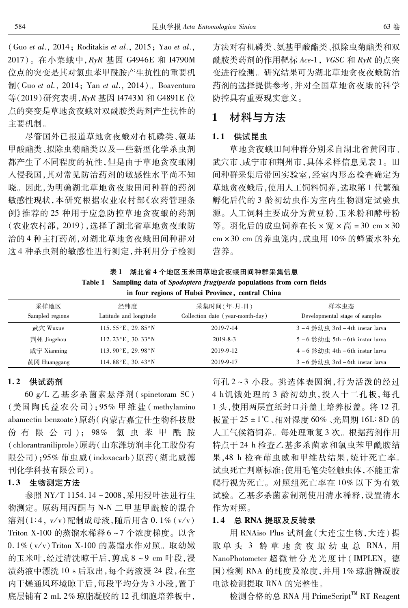(Guo et al., 2014; Roditakis et al., 2015; Yao et al., 2017)。在小菜蛾中, RyR 基因 G4946E 和 I4790M 位点的突变是其对氯虫苯甲酰胺产生抗性的重要机  $\frac{1}{2}$  (Guo et al., 2014; Yan et al., 2014). Boaventura 等(2019)研究表明, RyR 基因 I4743M 和 G4891E 位 点的突变是草地贪夜蛾对双酰胺类药剂产生抗性的 主要机制。

尽管国外已报道草地贪夜蛾对有机磷类、氨基 甲酸酯类、拟除虫菊酯类以及一些新型化学杀虫剂 都产生了不同程度的抗性,但是由于草地贪夜蛾刚 入侵我国,其对常见防治药剂的敏感性水平尚不知 晓。因此,为明确湖北草地贪夜蛾田间种群的药剂 敏感性现状,本研究根据农业农村部《农药管理条 例》推荐的25种用于应急防控草地贪夜蛾的药剂 (农业农村部, 2019), 选择了湖北省草地贪夜蛾防 治的4种主打药剂,对湖北草地贪夜蛾田间种群对 这4种杀电剂的敏感性进行测定,并利用分子检测 方法对有机磷类、氨基甲酸酯类、拟除虫菊酯类和双 酰胺类药剂的作用靶标 Ace-1, VGSC 和 RyR 的点突 变进行检测。研究结果可为湖北草地贪夜夜蛾防治 药剂的选择提供参考,并对全国草地贪夜蛾的科学 防控具有重要现实意义。

#### 材料与方法 1

#### 1.1 供试昆虫

草地贪夜蛾田间种群分别采自湖北省黄冈市、 武穴市、咸宁市和荆州市,具体采样信息见表1。田 间种群采集后带回实验室,经室内形态检查确定为 草地贪夜蛾后,使用人工饲料饲养,选取第1代繁殖 孵化后代的3龄初幼虫作为室内生物测定试验虫 源。人工饲料主要成分为黄豆粉、玉米粉和酵母粉 等。羽化后的成虫饲养在长×宽×高=30 cm×30 cm × 30 cm 的养电笼内, 成电用 10% 的蜂蜜水补充 营养。

|  | in four regions of Hubei Province, central China |                                                                             |
|--|--------------------------------------------------|-----------------------------------------------------------------------------|
|  |                                                  | Table 1 Sampling data of Spodoptera frugiperda populations from corn fields |
|  | 湖北省4个地区玉米田草地贪夜蛾田间种群采集信息                          |                                                                             |

| 采样地区<br>Sampled regions | 经纬度<br>Latitude and longitude                | 采集时间(年-月-日)<br>Collection date (year-month-day) | 样本虫态<br>Developmental stage of samples |
|-------------------------|----------------------------------------------|-------------------------------------------------|----------------------------------------|
| 武穴 Wuxue                | $115.55\textdegree$ E, 29.85 $\textdegree$ N | 2019-7-14                                       | 3-4 龄幼虫 3rd-4th instar larva           |
|                         |                                              |                                                 |                                        |
| 荆州 Jingzhou             | 112.23 $^{\circ}$ E, 30.33 $^{\circ}$ N      | $2019 - 8 - 3$                                  | 5-6 龄幼虫 5th-6th instar larva           |
| 咸宁 Xianning             | 113.90 $^{\circ}$ E, 29.98 $^{\circ}$ N      | 2019-9-12                                       | 4-6 龄幼虫 4th - 6th instar larva         |
| 黄冈 Huanggang            | 114.88 $^{\circ}$ E, 30.43 $^{\circ}$ N      | 2019-9-17                                       | 3-6 龄幼虫 3rd-6th instar larva           |

# 1.2 供试药剂

60 g/L 乙基多杀菌素悬浮剂 (spinetoram SC) (美国陶氏益农公司);95% 甲维盐 (methylamino abamectin benzoate)原药(内蒙古嘉宝仕生物科技股 份有限公司); 98% 氯虫苯甲酰胺 (chlorantraniliprole)原药(山东潍坊润丰化工股份有 限公司):95% 茚虫威(indoxacarb)原药(湖北威德 刊化学科技有限公司)。

## 1.3 生物测定方法

参照 NY/T 1154.14-2008,采用浸叶法进行生 物测定。原药用丙酮与 N-N 二甲基甲酰胺的混合 溶剂(1:4, v/v)配制成母液,随后用含 0.1% (v/v) Triton X-100 的蒸馏水稀释 6~7 个浓度梯度。以含 0.1% (v/v) Triton X-100 的蒸馏水作对照。取幼嫩 的玉米叶,经过清洗晾干后,剪成8~9 cm 叶段,浸 渍药液中漂洗 10 s 后取出, 每个药液浸 24 段, 在室 内干燥通风环境晾干后,每段平均分为3小段,置于 底层铺有2 mL 2% 琼脂凝胶的 12 孔细胞培养板中,

每孔2~3小段。挑选体表圆润,行为活泼的经过 4 h饥饿处理的3龄初幼虫,投入十二孔板,每孔 1头,使用两层宣纸封口并盖上培养板盖。将12孔 板置于 25 ±1℃、相对湿度 60%、光周期 16L: 8D 的 人工气候箱饲养。每处理重复3次。根据药剂作用 特点于 24 h 检查乙基多杀菌素和氯虫苯甲酰胺结 果,48 h 检查茚虫威和甲维盐结果,统计死亡率。 试虫死亡判断标准:使用毛笔尖轻触虫体,不能正常 爬行视为死亡。对照组死亡率在10%以下为有效 试验。乙基多杀菌素制剂使用清水稀释,设置清水 作为对照。

#### 1.4 总 RNA 提取及反转录

用 RNAiso Plus 试剂盒(大连宝生物,大连)提 取单头 3 龄草地贪夜蛾幼虫总 RNA,用 NanoPhotometer 超微量分光光度计(IMPLEN, 德 国)检测 RNA 的纯度及浓度,并用1%琼脂糖凝胶 电泳检测提取 RNA 的完整性。

检测合格的总 RNA 用 PrimeScript™ RT Reagent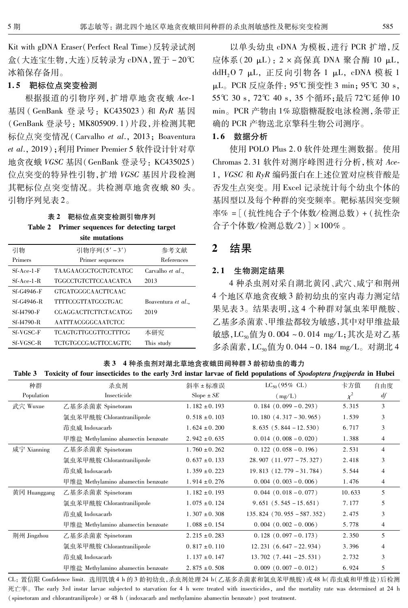Kit with gDNA Eraser (Perfect Real Time) 反转录试剂 盒(大连宝生物,大连)反转录为 cDNA, 置于-20℃ 冰箱保存备用。

#### 1.5 靶标位点突变检测

根据报道的引物序列, 扩增草地贪夜蛾 Ace-1 基因 (GenBank 登录号: KC435023) 和 RyR 基因 (GenBank 登录号: MK805909.1)片段,并检测其靶 标位点突变情况 (Carvalho et al., 2013; Boaventura et al., 2019); 利用 Primer Premier 5 软件设计针对草 地贪夜蛾 VGSC 基因(GenBank 登录号: KC435025) 位点突变的特异性引物,扩增 VGSC 基因片段检测 其靶标位点突变情况。共检测草地贪夜蛾 80头。 引物序列见表 2。

#### 表 2 靶标位点突变检测引物序列 Table 2 Primer sequences for detecting target cite mutations

|                  | ме шишины                   |                    |
|------------------|-----------------------------|--------------------|
| 引物               | 引物序列(5'-3')                 | 参考文献               |
| Primers          | Primer sequences            | References         |
| $Sf-Ace-1-F$     | TAAGAACGCTGCTGTCATGC        | Carvalho et al.,   |
| $Sf-Ace-1-R$     | <b>TGGCCTGTCTTCCAACATCA</b> | 2013               |
| Sf-G4946-F       | <b>GTGATGGGCAACTTCAAC</b>   |                    |
| Sf-G4946-R       | TTTTCCGTTATGCGTGAC          | Boaventura et al., |
| Sf-I4790-F       | CGAGGACTTCTTCTACATGG        | 2019               |
| Sf-I4790-R       | <b>AATTTACGGGCAATCTCC</b>   |                    |
| <b>Sf-VGSC-F</b> | TCAGTGTTGCGTTCCTTTCG        | 本研究                |
| <b>Sf-VGSC-R</b> | TCTGTGCCGAGTTCCAGTTC        | This study         |
|                  |                             |                    |

以单头幼虫 cDNA 为模板,进行 PCR 扩增,反 应体系(20 μL): 2 × 高保真 DNA 聚合酶 10 μL, ddH<sub>2</sub>O 7 μL, 正反向引物各 1 μL, cDNA 模板 1 µL。PCR 反应条件: 95℃预变性 3 min; 95℃ 30 s, 55℃ 30 s, 72℃ 40 s, 35个循环;最后72℃延伸10 min。PCR 产物由1%琼脂糖凝胶电泳检测,条带正 确的 PCR 产物送北京擎科生物公司测序。

## 1.6 数据分析

使用 POLO Plus 2.0 软件处理生测数据。使用 Chromas 2.31 软件对测序峰图进行分析, 核对 Ace-1, VGSC 和 RyR 编码蛋白在上述位置对应核苷酸是 否发生点突变。用 Excel 记录统计每个幼虫个体的 基因型以及每个种群的突变频率。靶标基因突变频 率% = [(抗性纯合子个体数/检测总数) + (抗性杂 合子个体数/检测总数/2)]×100%。

#### $\overline{2}$ 结果

## 2.1 生物测定结果

4 种杀虫剂对采自湖北黄冈、武穴、咸宁和荆州 4个地区草地贪夜蛾3龄初幼虫的室内毒力测定结 果见表3。结果表明,这4个种群对氯虫苯甲酰胺、 乙基多杀菌素、甲维盐都较为敏感,其中对甲维盐最 敏感, LC<sub>so</sub>值为 0.004~0.014 mg/L; 其次是对乙基 多杀菌素, LC<sub>50</sub>值为 0.044~0.184 mg/L。对湖北 4

表 3 4 种杀虫剂对湖北草地贪夜蛾田间种群 3 龄初幼虫的毒力

|  | Table 3 Toxicity of four insecticides to the early 3rd instar larvae of field populations of Spodoptera frugiperda in Hubei |  |  |  |
|--|-----------------------------------------------------------------------------------------------------------------------------|--|--|--|
|  |                                                                                                                             |  |  |  |

| 种群           | 杀虫剂                                | 斜率±标准误            | $LC_{50}$ (95% CL)           | 卡方值      | 自由度            |
|--------------|------------------------------------|-------------------|------------------------------|----------|----------------|
| Population   | Insecticide                        | $Slope \pm SE$    | (mg/L)                       | $\chi^2$ | df             |
| 武穴 Wuxue     | 乙基多杀菌素 Spinetoram                  | $1.182 \pm 0.193$ | $0.184(0.099 - 0.293)$       | 5.315    | 3              |
|              | 氯虫苯甲酰胺 Chlorantraniliprole         | $0.518 \pm 0.103$ | $10.180(4.317 - 30.965)$     | 1.539    | 3              |
|              | 茚虫威 Indoxacarb                     | $1.624 \pm 0.200$ | $8.635(5.844 - 12.530)$      | 6.717    | 3              |
|              | 甲维盐 Methylamino abamectin benzoate | $2.942 \pm 0.635$ | $0.014$ $(0.008 - 0.020)$    | 1.388    | $\overline{4}$ |
| 咸宁 Xianning  | 乙基多杀菌素 Spinetoram                  | $1.760 \pm 0.262$ | $0.122(0.058 - 0.196)$       | 2.531    | $\overline{4}$ |
|              | 氯虫苯甲酰胺 Chlorantraniliprole         | $0.637 \pm 0.133$ | $28.907$ $(11.977 - 75.327)$ | 2.418    | 3              |
|              | 茚虫威 Indoxacarb                     | $1.359 \pm 0.223$ | $19.813$ $(12.779 - 31.784)$ | 5.544    | 4              |
|              | 甲维盐 Methylamino abamectin benzoate | $1.914 \pm 0.276$ | $0.004$ $(0.003 - 0.006)$    | 1.476    | 4              |
| 黄冈 Huanggang | 乙基多杀菌素 Spinetoram                  | $1.182 \pm 0.193$ | $0.044$ $(0.018 - 0.077)$    | 10.633   | 5              |
|              | 氯虫苯甲酰胺 Chlorantraniliprole         | $1.075 \pm 0.124$ | $9.651(5.545 - 15.651)$      | 7.177    | 5              |
|              | 茚虫威 Indoxacarb                     | $1.307 \pm 0.308$ | $135.824$ (70.955 - 587.352) | 2.475    | 3              |
|              | 甲维盐 Methylamino abamectin benzoate | $1.088 \pm 0.154$ | $0.004$ $(0.002 - 0.006)$    | 5.778    | $\overline{4}$ |
| 荆州 Jingzhou  | 乙基多杀菌素 Spinetoram                  | $2.215 \pm 0.283$ | $0.128(0.097 - 0.173)$       | 2.350    | 5              |
|              | 氯虫苯甲酰胺 Chlorantraniliprole         | $0.817 \pm 0.110$ | $12.231(6.647 - 22.934)$     | 3.396    | 4              |
|              | 茚虫威 Indoxacarb                     | $1.137 \pm 0.147$ | $13.702$ $(7.441 - 25.531)$  | 2.732    | 3              |
|              | 甲维盐 Methylamino abamectin benzoate | $2.875 \pm 0.508$ | $0.009$ $(0.007 - 0.012)$    | 6.924    | 5              |

CL: 置信限 Confidence limit. 选用饥饿4 h 的3 龄初幼虫,杀虫剂处理24 h(乙基多杀菌素和氯虫苯甲酰胺)或48 h(茚虫威和甲维盐)后检测 死亡率。The early 3rd instar larvae subjected to starvation for 4 h were treated with insecticides, and the mortality rate was determined at 24 h (spinetoram and chlorantraniliprole) or 48 h (indoxacarb and methylamino abamectin benzoate) post treatment.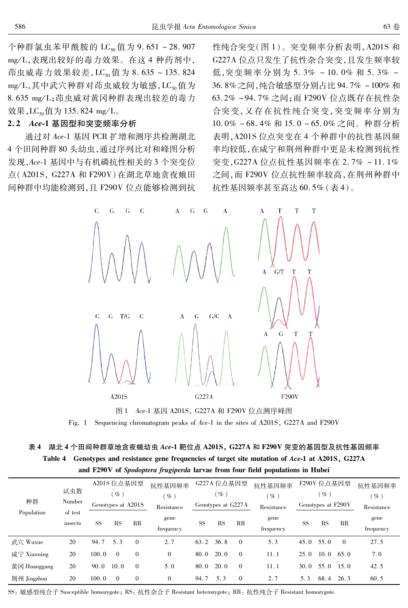个种群氯虫苯甲酰胺的 LC<sub>so</sub>值为 9.651~28.907 mg/L.表现出较好的毒力效果。在这 4 种药剂中, 茚虫威毒力效果较差, LC<sub>s0</sub>值为 8.635~135.824 mg/L,其中武穴种群对茚虫威较为敏感,LC,。值为 8.635 mg/L;茚虫威对黄冈种群表现出较差的毒力 效果, LC<sub>50</sub>值为 135.824 mg/L。

#### 2.2 Ace-1 基因型和突变频率分析

通过对 Ace-1 基因 PCR 扩增和测序共检测湖北 4个田间种群80头幼虫,通过序列比对和峰图分析 发现, Ace-1 基因中与有机磷抗性相关的 3 个突变位 点(A201S, G227A 和 F290V)在湖北草地贪夜蛾田 间种群中均能检测到,且 F290V 位点能够检测到抗

性纯合突变(图1)。突变频率分析表明, A201S 和 G227A 位点只发生了抗性杂合突变, 目发生频率较 低,突变频率分别为 5.3% ~ 10.0% 和 5.3% ~ 36.8%之间,纯合敏感型分别占比 94.7% ~100%和 63.2%~94.7%之间;而F290V位点既存在抗性杂 合突变,又存在抗性纯合突变,突变频率分别为 10.0%~68.4%和15.0~65.0%之间。种群分析 表明, A201S 位点突变在 4 个种群中的抗性基因频 率均较低,在咸宁和荆州种群中更是未检测到抗性 突变, G227A 位点抗性基因频率在 2.7% ~11.1% 之间, 而 F290V 位点抗性频率较高, 在荆州种群中 抗性基因频率甚至高达60.5%(表4)。



Fig. 1 Sequencing chromatogram peaks of Ace-1 in the sites of A201S, G227A and F290V

# 表 4 湖北 4 个田间种群草地贪夜蛾幼虫 Ace-1 靶位点 A201S, G227A 和 F290V 突变的基因型及抗性基因频率 Table 4 Genotypes and resistance gene frequencies of target site mutation of Ace-1 at A201S, G227A and F290V of Spodoptera frugiperda larvae from four field populations in Hubei

| 种群<br>Population | 试虫数<br>Number      | A201S 位点基因型<br>$\mathscr{G}_o$ )<br>Genotypes at A201S |           |                | 抗性基因频率<br>$\mathscr{A}_o$ )<br>Resistance | G227A 位点基因型<br>$($ % $)$<br>Genotypes at G227A |      | 抗性基因频率<br>$(\%)$<br>Resistance | F290V 位点基因型<br>$\mathscr{G}_o$<br>Genotypes at F290V |           |           | 抗性基因频率<br>$(\%)$<br>Resistance |                   |
|------------------|--------------------|--------------------------------------------------------|-----------|----------------|-------------------------------------------|------------------------------------------------|------|--------------------------------|------------------------------------------------------|-----------|-----------|--------------------------------|-------------------|
|                  | of test<br>insects | <b>SS</b>                                              | <b>RS</b> | RR             | gene<br>frequency                         | <b>SS</b>                                      | RS   | RR                             | gene<br>frequency                                    | <b>SS</b> | <b>RS</b> | $_{\rm RR}$                    | gene<br>frequency |
| 武穴 Wuxue         | 20                 | 94.7                                                   | 5.3       | $\theta$       | 2.7                                       | 63.2                                           | 36.8 | $\theta$                       | 5.3                                                  | 45.0      | 55.0      | $\Omega$                       | 27.5              |
| 咸宁 Xianning      | 20                 | 100.0                                                  | $\Omega$  | $\overline{0}$ | $\mathbf{0}$                              | 80.0                                           | 20.0 | $\theta$                       | 11.1                                                 | 25.0      | 10.0      | 65.0                           | 7.0               |
| 黄冈 Huanggang     | 20                 | 90.0                                                   | 10.0      | $\Omega$       | 5.0                                       | 80.0                                           | 20.0 | $\theta$                       | 11.1                                                 | 30.0      | 55.0      | 15.0                           | 42.5              |
| 荆州 Jingzhou      | 20                 | 100.0                                                  | $\Omega$  | $\theta$       | $\mathbf{0}$                              | 94.7                                           | 5.3  | $\mathbf{0}$                   | 2.7                                                  | 5.3       | 68.4      | 26.3                           | 60.5              |

SS: 敏感型纯合子 Susceptible homozygote; RS: 抗性杂合子 Resistant heterozygote; RR: 抗性纯合子 Resistant homozygote.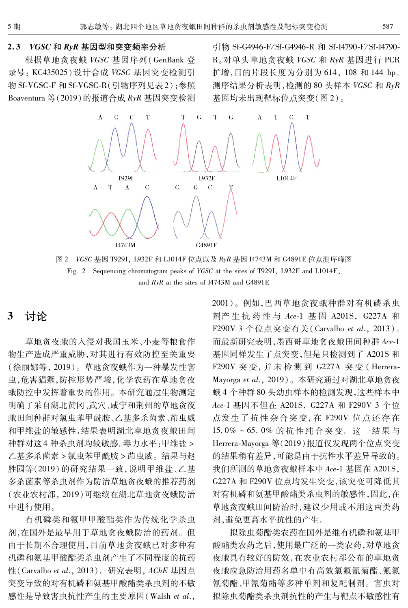#### VGSC 和 RyR 基因型和突变频率分析  $2.3$

根据草地贪夜蛾 VGSC 基因序列(GenBank 登 录号: KC435025)设计合成 VGSC 基因突变检测引 物 Sf-VGSC-F 和 Sf-VGSC-R(引物序列见表2);参照 Boaventura 等(2019)的报道合成 RyR 基因突变检测

引物 Sf-G4946-F/Sf-G4946-R 和 Sf-I4790-F/Sf-I4790-R。对单头草地贪夜蛾 VGSC 和 RyR 基因进行 PCR 扩增,目的片段长度为分别为 614, 108 和 144 bp。 测序结果分析表明, 检测的 80 头样本 VGSC 和 RyR 基因均未出现靶标位点突变(图2)。



图 2 VGSC 基因 T929I, L932F 和 L1014F 位点以及 RyR 基因 I4743M 和 G4891E 位点测序峰图 Fig. 2 Sequencing chromatogram peaks of VGSC at the sites of T9291, L932F and L1014F, and  $RyR$  at the sites of I4743M and G4891E

#### 讨论 3

草地贪夜蛾的入侵对我国玉米、小麦等粮食作 物生产造成严重威胁,对其进行有效防控至关重要 (徐丽娜等, 2019)。草地贪夜蛾作为一种暴发性害 虫,危害猖獗,防控形势严峻,化学农药在草地贪夜 蛾防控中发挥着重要的作用。本研究通过生物测定 明确了采自湖北黄冈、武穴、咸宁和荆州的草地贪夜 蛾田间种群对氯虫苯甲酰胺、乙基多杀菌素、茚虫威 和甲维盐的敏感性,结果表明湖北草地贪夜蛾田间 种群对这4种杀虫剂均较敏感。毒力水平:甲维盐 > 乙基多杀菌素 > 氯虫苯甲酰胺 > 茚虫威。结果与赵 胜园等(2019)的研究结果一致,说明甲维盐、乙基 多杀菌素等杀虫剂作为防治草地贪夜蛾的推荐药剂 (农业农村部, 2019)可继续在湖北草地贪夜蛾防治 中进行使用。

有机磷类和氨甲甲酸酯类作为传统化学杀虫 剂,在国外是最早用于草地贪夜蛾防治的药剂。但 由于长期不合理使用,目前草地贪夜蛾已对多种有 机磷和氨基甲酸酯类杀虫剂产生了不同程度的抗药 性(Carvalho et al., 2013)。研究表明, AChE 基因点 突变导致的对有机磷和氨基甲酸酯类杀虫剂的不敏 感性是导致害虫抗性产生的主要原因(Walsh et al., 2001)。例如,巴西草地贪夜蛾种群对有机磷杀虫 剂产生抗药性与 Ace-1 基因 A201S, G227A 和 F290V 3 个位点突变有关 (Carvalho et al., 2013)。 而最新研究表明, 墨西哥草地贪夜蛾田间种群 Ace-1 基因同样发生了点突变,但是只检测到了 A201S 和 F290V 突变, 并未检测到 G227A 突变 (Herrera-Mayorga et al., 2019)。本研究通过对湖北草地贪夜 蛾4个种群80头幼虫样本的检测发现,这些样本中 Ace-1 基因不但在 A201S, G227A 和 F290V 3 个位 点发生了抗性杂合突变, 在 F290V 位点还存在 15.0%~65.0%的抗性纯合突变。这一结果与 Herrera-Mayorga 等(2019)报道仅发现两个位点突变 的结果稍有差异,可能是由于抗性水平差异导致的。 我们所测的草地贪夜蛾样本中 Ace-1 基因在 A201S, G227A 和 F290V 位点均发生突变, 该突变可降低其 对有机磷和氨基甲酸酯类杀虫剂的敏感性,因此,在 草地贪夜蛾田间防治时,建议少用或不用这两类药 剂,避免更高水平抗性的产生。

拟除虫菊酯类农药在国外是继有机磷和氨基甲 酸酯类农药之后,使用最广泛的一类农药,对草地贪 夜蛾具有较好的防效,在农业农村部公布的草地贪 夜蛾应急防治用药名单中有高效氯氟氰菊酯、氟氯 氰菊酯、甲氰菊酯等多种单剂和复配制剂。害虫对 拟除虫菊酯类杀虫剂抗性的产生与靶点不敏感性有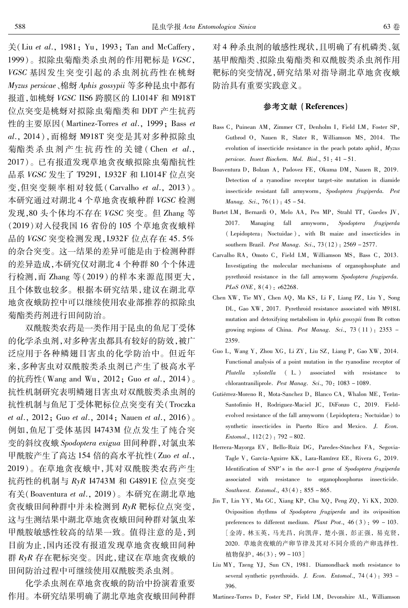关(Liu et al., 1981; Yu, 1993; Tan and McCaffery, 1999)。拟除虫菊酯类杀虫剂的作用靶标是 VGSC, VGSC 基因发生突变引起的杀虫剂抗药性在桃蚜 Myzus persicae、棉蚜 Aphis gossypii 等多种昆虫中都有 报道,如桃蚜 VGSC IIS6 跨膜区的 L1014F 和 M918T 位点突变是桃蚜对拟除虫菊酯类和 DDT 产生抗药 性的主要原因 (Martinez-Torres et al., 1999; Bass et al., 2014), 而棉蚜 M918T 突变是其对多种拟除虫 菊酯类杀虫剂产生抗药性的关键(Chen et al., 2017)。已有报道发现草地贪夜蛾拟除虫菊酯抗性 品系 VGSC 发生了 T929I, L932F 和 L1014F 位点突 变,但突变频率相对较低 (Carvalho et al., 2013)。 本研究通过对湖北4个草地贪夜蛾种群 VGSC 检测 发现,80头个体均不存在 VGSC 突变。但 Zhang 等 (2019) 对入侵我国 16 省份的 105 个草地贪夜蛾样 品的 VGSC 突变检测发现, L932F 位点存在 45.5% 的杂合突变。这一结果的差异可能是由于检测种群 的差异造成,本研究仅对湖北4个种群80个个体进 行检测, 而 Zhang 等 (2019) 的样本来源范围更大, 日个体数也较多。根据本研究结果,建议在湖北草 地贪夜蛾防控中可以继续使用农业部推荐的拟除虫 菊酯类药剂进行田间防治。

双酰胺类农药是一类作用于昆虫的鱼尼丁受体 的化学杀虫剂,对多种害虫都具有较好的防效,被广 泛应用于各种鳞翅目害虫的化学防治中。但近年 来,多种害虫对双酰胺类杀虫剂已产生了极高水平 的抗药性(Wang and Wu, 2012; Guo et al., 2014)。 抗性机制研究表明鳞翅目害虫对双酰胺类杀虫剂的 抗性机制与鱼尼丁受体靶标位点突变有关(Troczka et al., 2012; Guo et al., 2014; Nauen et al., 2016). 例如, 鱼尼丁受体基因 I4743M 位点发生了纯合突 变的斜纹夜蛾 Spodoptera exigua 田间种群,对氯虫苯 甲酰胺产生了高达 154 倍的高水平抗性 (Zuo et al., 2019)。在草地贪夜蛾中,其对双酰胺类农药产生 抗药性的机制与 RyR I4743M 和 G4891E 位点突变 有关(Boaventura et al., 2019)。本研究在湖北草地 贪夜蛾田间种群中并未检测到 RyR 靶标位点突变, 这与生测结果中湖北草地贪夜蛾田间种群对氯虫苯 甲酰胺敏感性较高的结果一致。值得注意的是,到 目前为止,国内还没有报道发现草地贪夜蛾田间种 群 RyR 存在靶标突变。因此,建议在草地贪夜蛾的 田间防治过程中可继续使用双酰胺类杀虫剂。

化学杀虫剂在草地贪夜蛾的防治中扮演着重要 作用。本研究结果明确了湖北草地贪夜蛾田间种群 对4种杀虫剂的敏感性现状,且明确了有机磷类、氨 基甲酸酯类、拟除虫菊酯类和双酰胺类杀虫剂作用 靶标的突变情况,研究结果对指导湖北草地贪夜蛾 防治具有重要实践意义。

#### 参考文献 (References)

- Bass C, Puinean AM, Zimmer CT, Denholm I, Field LM, Foster SP, Gutbrod O. Nauen R. Slater R. Williamson MS. 2014. The evolution of insecticide resistance in the peach potato aphid,  $Myzus$ persicae. Insect Biochem. Mol. Biol., 51: 41-51.
- Boaventura D, Bolzan A, Padovez FE, Okuma DM, Nauen R, 2019. Detection of a ryanodine receptor target-site mutation in diamide insecticide resistant fall armyworm, Spodoptera frugiperda. Pest Manag. Sci., 76(1): 45-54.
- Burtet LM, Bernardi O, Melo AA, Pes MP, Strahl TT, Guedes JV, 2017 Managing fall armyworm, Spodoptera frugiperda (Lepidoptera: Noctuidae), with Bt maize and insecticides in southern Brazil. Pest Manag. Sci., 73(12): 2569 - 2577.
- Carvalho RA, Omoto C, Field LM, Williamson MS, Bass C, 2013. Investigating the molecular mechanisms of organophosphate and pyrethroid resistance in the fall armyworm Spodoptera frugiperda.  $PLoS$  ONE,  $8(4)$ ; e62268.
- Chen XW, Tie MY, Chen AQ, Ma KS, Li F, Liang PZ, Liu Y, Song DL, Gao XW, 2017. Pyrethroid resistance associated with M918L mutation and detoxifying metabolism in Aphis gossypii from Bt cotton growing regions of China. Pest Manag. Sci.,  $73(11)$ : 2353 -2359.
- Guo L, Wang Y, Zhou XG, Li ZY, Liu SZ, Liang P, Gao XW, 2014. Functional analysis of a point mutation in the ryanodine receptor of Plutella xylostella (L.) associated with resistance to chlorantraniliprole. Pest Manag. Sci., 70: 1083 - 1089.
- Gutiérrez-Moreno R, Mota-Sanchez D, Blanco CA, Whalon ME, Terán-Santofimio H, Rodriguez-Maciel JC, DiFonzo C, 2019. Fieldevolved resistance of the fall armyworm (Lepidoptera: Noctuidae) to synthetic insecticides in Puerto Rico and Mexico. J. Econ.  $Entomol., 112(2): 792 - 802.$
- Herrera-Mayorga EV, Bello-Ruiz DG, Paredes-Sánchez FA, Segovia-Tagle V, García-Aguirre KK, Lara-Ramírez EE, Rivera G, 2019. Identification of SNP's in the ace-1 gene of Spodoptera frugiperda associated with resistance to organophosphorus insecticide. Southwest. Entomol., 43(4): 855 - 865.
- Jin T, Lin YY, Ma GC, Xiang KP, Chu XQ, Peng ZQ, Yi KX, 2020. Oviposition rhythms of Spodoptera frugiperda and its oviposition preferences to different medium. Plant Prot.,  $46(3)$ : 99 - 103. 「金涛, 林玉英, 马光昌, 向凯萍, 楚小强, 彭正强, 易克贤, 2020. 草地贪夜蛾的产卵节律及其对不同介质的产卵选择性. 植物保护, 46(3): 99-103]
- Liu MY, Tzeng YJ, Sun CN, 1981. Diamondback moth resistance to several synthetic pyrethroids. J. Econ. Entomol., 74 (4): 393 -396.
- Martinez-Torres D, Foster SP, Field LM, Devonshire AL, Williamson